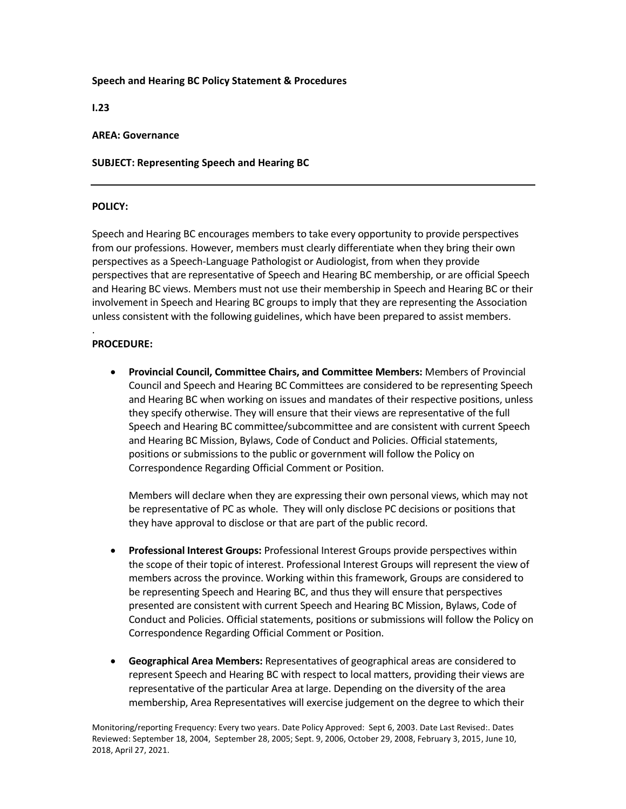## **Speech and Hearing BC Policy Statement & Procedures**

**I.23**

## **AREA: Governance**

# **SUBJECT: Representing Speech and Hearing BC**

## **POLICY:**

Speech and Hearing BC encourages members to take every opportunity to provide perspectives from our professions. However, members must clearly differentiate when they bring their own perspectives as a Speech-Language Pathologist or Audiologist, from when they provide perspectives that are representative of Speech and Hearing BC membership, or are official Speech and Hearing BC views. Members must not use their membership in Speech and Hearing BC or their involvement in Speech and Hearing BC groups to imply that they are representing the Association unless consistent with the following guidelines, which have been prepared to assist members.

#### . **PROCEDURE:**

• **Provincial Council, Committee Chairs, and Committee Members:** Members of Provincial Council and Speech and Hearing BC Committees are considered to be representing Speech and Hearing BC when working on issues and mandates of their respective positions, unless they specify otherwise. They will ensure that their views are representative of the full Speech and Hearing BC committee/subcommittee and are consistent with current Speech and Hearing BC Mission, Bylaws, Code of Conduct and Policies. Official statements, positions or submissions to the public or government will follow the Policy on Correspondence Regarding Official Comment or Position.

Members will declare when they are expressing their own personal views, which may not be representative of PC as whole. They will only disclose PC decisions or positions that they have approval to disclose or that are part of the public record.

- **Professional Interest Groups:** Professional Interest Groups provide perspectives within the scope of their topic of interest. Professional Interest Groups will represent the view of members across the province. Working within this framework, Groups are considered to be representing Speech and Hearing BC, and thus they will ensure that perspectives presented are consistent with current Speech and Hearing BC Mission, Bylaws, Code of Conduct and Policies. Official statements, positions or submissions will follow the Policy on Correspondence Regarding Official Comment or Position.
- **Geographical Area Members:** Representatives of geographical areas are considered to represent Speech and Hearing BC with respect to local matters, providing their views are representative of the particular Area at large. Depending on the diversity of the area membership, Area Representatives will exercise judgement on the degree to which their

Monitoring/reporting Frequency: Every two years. Date Policy Approved: Sept 6, 2003. Date Last Revised:. Dates Reviewed: September 18, 2004, September 28, 2005; Sept. 9, 2006, October 29, 2008, February 3, 2015, June 10, 2018, April 27, 2021.